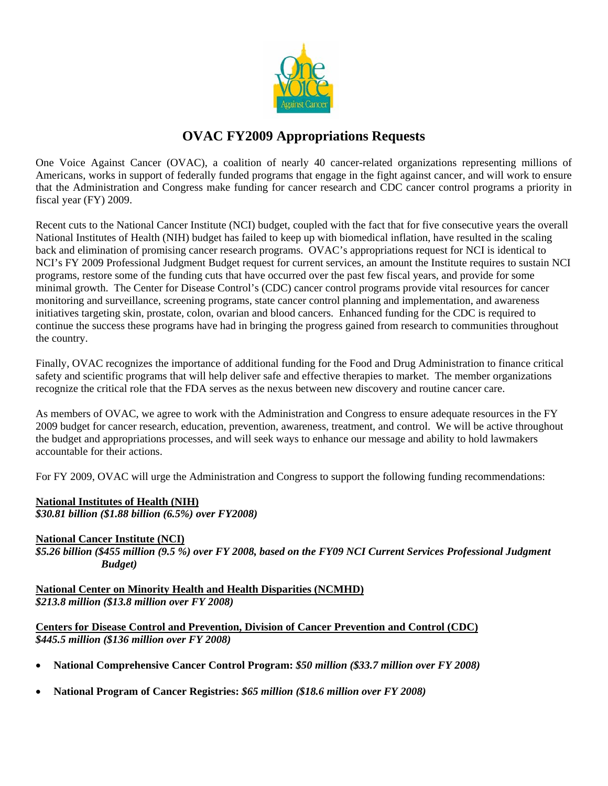

## **OVAC FY2009 Appropriations Requests**

One Voice Against Cancer (OVAC), a coalition of nearly 40 cancer-related organizations representing millions of Americans, works in support of federally funded programs that engage in the fight against cancer, and will work to ensure that the Administration and Congress make funding for cancer research and CDC cancer control programs a priority in fiscal year (FY) 2009.

Recent cuts to the National Cancer Institute (NCI) budget, coupled with the fact that for five consecutive years the overall National Institutes of Health (NIH) budget has failed to keep up with biomedical inflation, have resulted in the scaling back and elimination of promising cancer research programs. OVAC's appropriations request for NCI is identical to NCI's FY 2009 Professional Judgment Budget request for current services, an amount the Institute requires to sustain NCI programs, restore some of the funding cuts that have occurred over the past few fiscal years, and provide for some minimal growth. The Center for Disease Control's (CDC) cancer control programs provide vital resources for cancer monitoring and surveillance, screening programs, state cancer control planning and implementation, and awareness initiatives targeting skin, prostate, colon, ovarian and blood cancers. Enhanced funding for the CDC is required to continue the success these programs have had in bringing the progress gained from research to communities throughout the country.

Finally, OVAC recognizes the importance of additional funding for the Food and Drug Administration to finance critical safety and scientific programs that will help deliver safe and effective therapies to market. The member organizations recognize the critical role that the FDA serves as the nexus between new discovery and routine cancer care.

As members of OVAC, we agree to work with the Administration and Congress to ensure adequate resources in the FY 2009 budget for cancer research, education, prevention, awareness, treatment, and control. We will be active throughout the budget and appropriations processes, and will seek ways to enhance our message and ability to hold lawmakers accountable for their actions.

For FY 2009, OVAC will urge the Administration and Congress to support the following funding recommendations:

## **National Institutes of Health (NIH)** *\$30.81 billion (\$1.88 billion (6.5%) over FY2008)*

## **National Cancer Institute (NCI)**

*\$5.26 billion (\$455 million (9.5 %) over FY 2008, based on the FY09 NCI Current Services Professional Judgment Budget)* 

**National Center on Minority Health and Health Disparities (NCMHD)** *\$213.8 million (\$13.8 million over FY 2008)* 

**Centers for Disease Control and Prevention, Division of Cancer Prevention and Control (CDC)**  *\$445.5 million (\$136 million over FY 2008)*

- **National Comprehensive Cancer Control Program:** *\$50 million (\$33.7 million over FY 2008)*
- **National Program of Cancer Registries:** *\$65 million (\$18.6 million over FY 2008)*